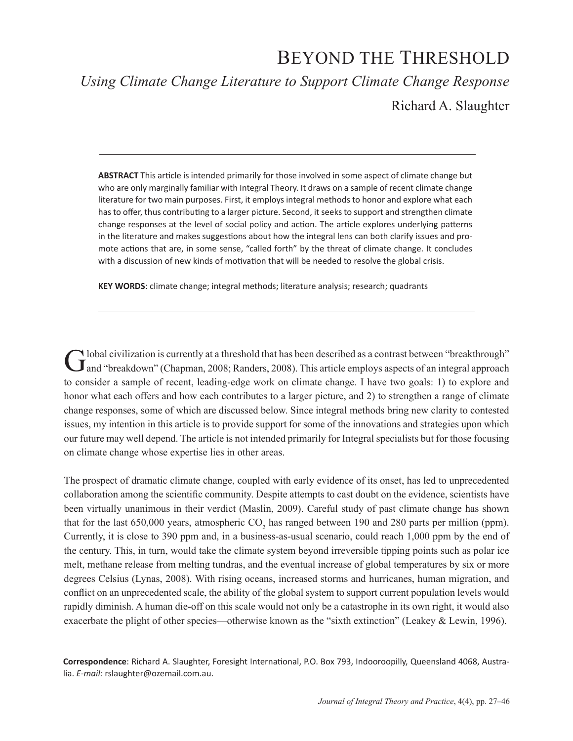# BEYOND THE THRESHOLD

*Using Climate Change Literature to Support Climate Change Response*

Richard A. Slaughter

**ABSTRACT** This article is intended primarily for those involved in some aspect of climate change but who are only marginally familiar with Integral Theory. It draws on a sample of recent climate change literature for two main purposes. First, it employs integral methods to honor and explore what each has to offer, thus contributing to a larger picture. Second, it seeks to support and strengthen climate change responses at the level of social policy and action. The article explores underlying patterns in the literature and makes suggestions about how the integral lens can both clarify issues and promote actions that are, in some sense, "called forth" by the threat of climate change. It concludes with a discussion of new kinds of motivation that will be needed to resolve the global crisis.

**KEY WORDS**: climate change; integral methods; literature analysis; research; quadrants

Global civilization is currently at a threshold that has been described as a contrast between "breakthrough" and "breakdown" (Chapman, 2008; Randers, 2008). This article employs aspects of an integral approach to consider a sample of recent, leading-edge work on climate change. I have two goals: 1) to explore and honor what each offers and how each contributes to a larger picture, and 2) to strengthen a range of climate change responses, some of which are discussed below. Since integral methods bring new clarity to contested issues, my intention in this article is to provide support for some of the innovations and strategies upon which our future may well depend. The article is not intended primarily for Integral specialists but for those focusing on climate change whose expertise lies in other areas.

The prospect of dramatic climate change, coupled with early evidence of its onset, has led to unprecedented collaboration among the scientific community. Despite attempts to cast doubt on the evidence, scientists have been virtually unanimous in their verdict (Maslin, 2009). Careful study of past climate change has shown that for the last 650,000 years, atmospheric  $CO_2$  has ranged between 190 and 280 parts per million (ppm). Currently, it is close to 390 ppm and, in a business-as-usual scenario, could reach 1,000 ppm by the end of the century. This, in turn, would take the climate system beyond irreversible tipping points such as polar ice melt, methane release from melting tundras, and the eventual increase of global temperatures by six or more degrees Celsius (Lynas, 2008). With rising oceans, increased storms and hurricanes, human migration, and conflict on an unprecedented scale, the ability of the global system to support current population levels would rapidly diminish. A human die-off on this scale would not only be a catastrophe in its own right, it would also exacerbate the plight of other species—otherwise known as the "sixth extinction" (Leakey & Lewin, 1996).

**Correspondence**: Richard A. Slaughter, Foresight International, P.O. Box 793, Indooroopilly, Queensland 4068, Australia. *E-mail:* rslaughter@ozemail.com.au.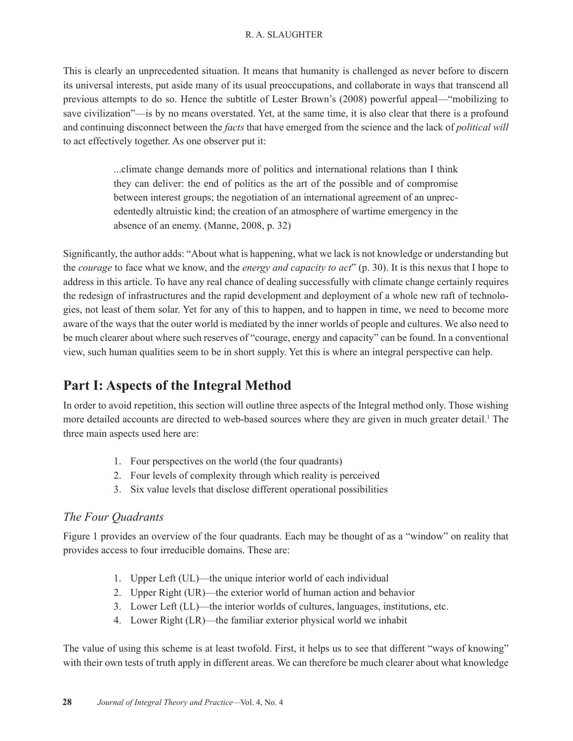This is clearly an unprecedented situation. It means that humanity is challenged as never before to discern its universal interests, put aside many of its usual preoccupations, and collaborate in ways that transcend all previous attempts to do so. Hence the subtitle of Lester Brown's (2008) powerful appeal—"mobilizing to save civilization"—is by no means overstated. Yet, at the same time, it is also clear that there is a profound and continuing disconnect between the *facts* that have emerged from the science and the lack of *political will* to act effectively together. As one observer put it:

> ...climate change demands more of politics and international relations than I think they can deliver: the end of politics as the art of the possible and of compromise between interest groups; the negotiation of an international agreement of an unprecedentedly altruistic kind; the creation of an atmosphere of wartime emergency in the absence of an enemy. (Manne, 2008, p. 32)

Significantly, the author adds: "About what is happening, what we lack is not knowledge or understanding but the *courage* to face what we know, and the *energy and capacity to act*" (p. 30). It is this nexus that I hope to address in this article. To have any real chance of dealing successfully with climate change certainly requires the redesign of infrastructures and the rapid development and deployment of a whole new raft of technologies, not least of them solar. Yet for any of this to happen, and to happen in time, we need to become more aware of the ways that the outer world is mediated by the inner worlds of people and cultures. We also need to be much clearer about where such reserves of "courage, energy and capacity" can be found. In a conventional view, such human qualities seem to be in short supply. Yet this is where an integral perspective can help.

## **Part I: Aspects of the Integral Method**

In order to avoid repetition, this section will outline three aspects of the Integral method only. Those wishing more detailed accounts are directed to web-based sources where they are given in much greater detail.<sup>1</sup> The three main aspects used here are:

- 1. Four perspectives on the world (the four quadrants)
- 2. Four levels of complexity through which reality is perceived
- 3. Six value levels that disclose different operational possibilities

### *The Four Quadrants*

Figure 1 provides an overview of the four quadrants. Each may be thought of as a "window" on reality that provides access to four irreducible domains. These are:

- 1. Upper Left (UL)—the unique interior world of each individual
- 2. Upper Right (UR)—the exterior world of human action and behavior
- 3. Lower Left (LL)—the interior worlds of cultures, languages, institutions, etc.
- 4. Lower Right (LR)—the familiar exterior physical world we inhabit

The value of using this scheme is at least twofold. First, it helps us to see that different "ways of knowing" with their own tests of truth apply in different areas. We can therefore be much clearer about what knowledge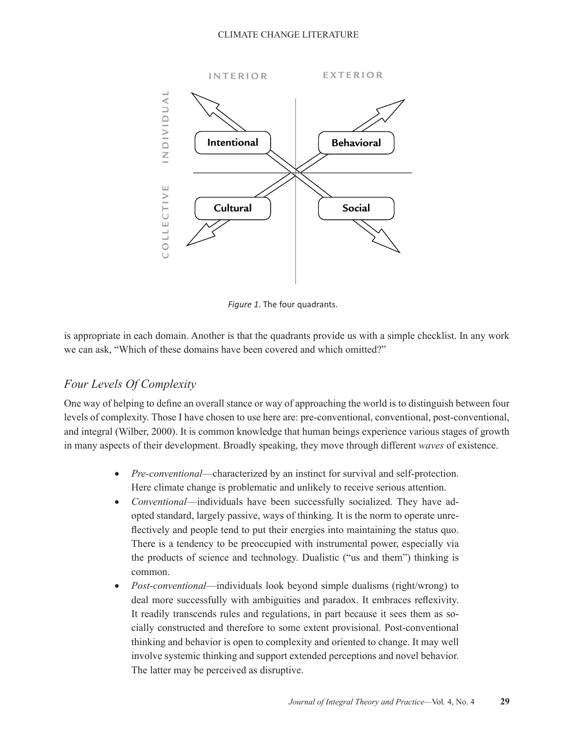#### CLIMATE CHANGE LITERATURE



*Figure 1*. The four quadrants.

is appropriate in each domain. Another is that the quadrants provide us with a simple checklist. In any work we can ask, "Which of these domains have been covered and which omitted?"

### *Four Levels Of Complexity*

One way of helping to define an overall stance or way of approaching the world is to distinguish between four levels of complexity. Those I have chosen to use here are: pre-conventional, conventional, post-conventional, and integral (Wilber, 2000). It is common knowledge that human beings experience various stages of growth in many aspects of their development. Broadly speaking, they move through different *waves* of existence.

- *Pre-conventional*—characterized by an instinct for survival and self-protection. Here climate change is problematic and unlikely to receive serious attention.
- *Conventional*—individuals have been successfully socialized. They have adopted standard, largely passive, ways of thinking. It is the norm to operate unreflectively and people tend to put their energies into maintaining the status quo. There is a tendency to be preoccupied with instrumental power, especially via the products of science and technology. Dualistic ("us and them") thinking is common.
- *Post-conventional*—individuals look beyond simple dualisms (right/wrong) to deal more successfully with ambiguities and paradox. It embraces reflexivity. It readily transcends rules and regulations, in part because it sees them as socially constructed and therefore to some extent provisional. Post-conventional thinking and behavior is open to complexity and oriented to change. It may well involve systemic thinking and support extended perceptions and novel behavior. The latter may be perceived as disruptive.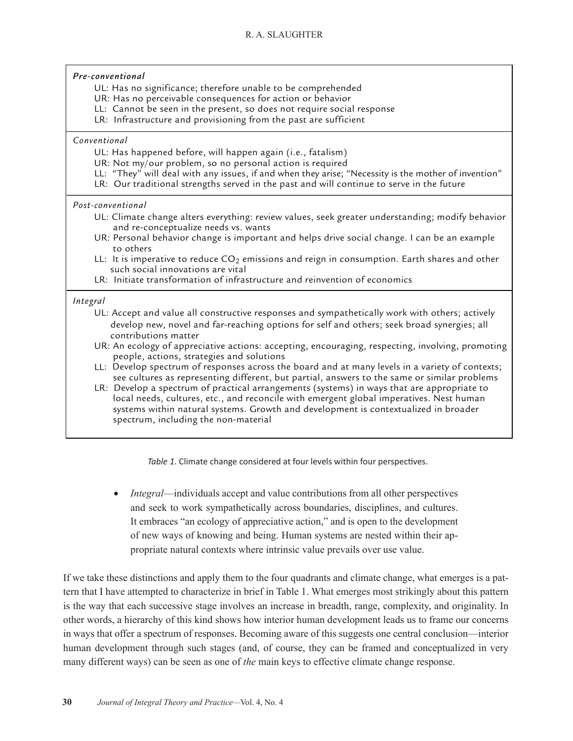#### *Pre-conventional*

- UL: Has no significance; therefore unable to be comprehended
- UR: Has no perceivable consequences for action or behavior
- LL: Cannot be seen in the present, so does not require social response
- LR: Infrastructure and provisioning from the past are sufficient

#### *Conventional*

- UL: Has happened before, will happen again (i.e., fatalism)
- UR: Not my/our problem, so no personal action is required
- LL: "They" will deal with any issues, if and when they arise; "Necessity is the mother of invention"
- LR: Our traditional strengths served in the past and will continue to serve in the future

#### *Post-conventional*

- UL: Climate change alters everything: review values, seek greater understanding; modify behavior and re-conceptualize needs vs. wants
- UR: Personal behavior change is important and helps drive social change. I can be an example to others
- LL: It is imperative to reduce  $CO<sub>2</sub>$  emissions and reign in consumption. Earth shares and other such social innovations are vital
- LR: Initiate transformation of infrastructure and reinvention of economics

#### *Integral*

- UL: Accept and value all constructive responses and sympathetically work with others; actively develop new, novel and far-reaching options for self and others; seek broad synergies; all contributions matter
- UR: An ecology of appreciative actions: accepting, encouraging, respecting, involving, promoting people, actions, strategies and solutions
- LL: Develop spectrum of responses across the board and at many levels in a variety of contexts; see cultures as representing different, but partial, answers to the same or similar problems
- LR: Develop a spectrum of practical arrangements (systems) in ways that are appropriate to local needs, cultures, etc., and reconcile with emergent global imperatives. Nest human systems within natural systems. Growth and development is contextualized in broader spectrum, including the non-material

*Table 1*. Climate change considered at four levels within four perspectives.

• *Integral*—individuals accept and value contributions from all other perspectives and seek to work sympathetically across boundaries, disciplines, and cultures. It embraces "an ecology of appreciative action," and is open to the development of new ways of knowing and being. Human systems are nested within their appropriate natural contexts where intrinsic value prevails over use value.

If we take these distinctions and apply them to the four quadrants and climate change, what emerges is a pattern that I have attempted to characterize in brief in Table 1. What emerges most strikingly about this pattern is the way that each successive stage involves an increase in breadth, range, complexity, and originality. In other words, a hierarchy of this kind shows how interior human development leads us to frame our concerns in ways that offer a spectrum of responses. Becoming aware of this suggests one central conclusion—interior human development through such stages (and, of course, they can be framed and conceptualized in very many different ways) can be seen as one of *the* main keys to effective climate change response.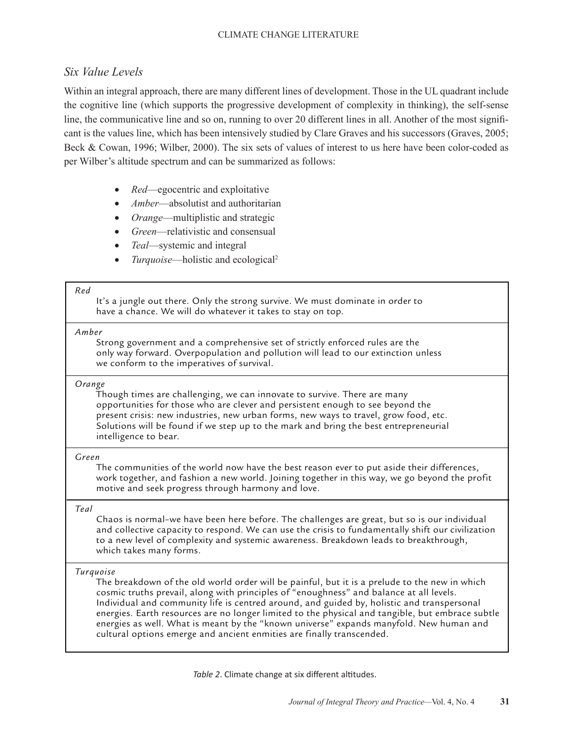### *Six Value Levels*

Within an integral approach, there are many different lines of development. Those in the UL quadrant include the cognitive line (which supports the progressive development of complexity in thinking), the self-sense line, the communicative line and so on, running to over 20 different lines in all. Another of the most significant is the values line, which has been intensively studied by Clare Graves and his successors (Graves, 2005; Beck & Cowan, 1996; Wilber, 2000). The six sets of values of interest to us here have been color-coded as per Wilber's altitude spectrum and can be summarized as follows:

- *Red*—egocentric and exploitative
- *Amber*—absolutist and authoritarian
- *Orange*—multiplistic and strategic
- Green—relativistic and consensual
- *Teal*—systemic and integral
- *Turquoise*—holistic and ecological<sup>2</sup>

#### *Red*

It's a jungle out there. Only the strong survive. We must dominate in order to have a chance. We will do whatever it takes to stay on top.

#### *Amber*

Strong government and a comprehensive set of strictly enforced rules are the only way forward. Overpopulation and pollution will lead to our extinction unless we conform to the imperatives of survival.

#### *Orange*

Though times are challenging, we can innovate to survive. There are many opportunities for those who are clever and persistent enough to see beyond the present crisis: new industries, new urban forms, new ways to travel, grow food, etc. Solutions will be found if we step up to the mark and bring the best entrepreneurial intelligence to bear.

#### *Green*

The communities of the world now have the best reason ever to put aside their differences, work together, and fashion a new world. Joining together in this way, we go beyond the profit motive and seek progress through harmony and love.

### *Teal*

Chaos is normal–we have been here before. The challenges are great, but so is our individual and collective capacity to respond. We can use the crisis to fundamentally shift our civilization to a new level of complexity and systemic awareness. Breakdown leads to breakthrough, which takes many forms.

### *Turquoise*

The breakdown of the old world order will be painful, but it is a prelude to the new in which cosmic truths prevail, along with principles of "enoughness" and balance at all levels. Individual and community life is centred around, and guided by, holistic and transpersonal energies. Earth resources are no longer limited to the physical and tangible, but embrace subtle energies as well. What is meant by the "known universe" expands manyfold. New human and cultural options emerge and ancient enmities are finally transcended.

*Table 2*. Climate change at six different altitudes.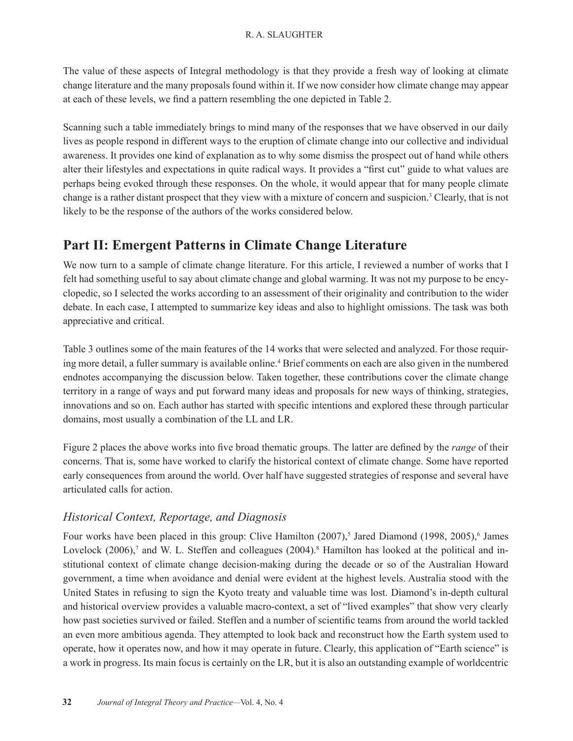The value of these aspects of Integral methodology is that they provide a fresh way of looking at climate change literature and the many proposals found within it. If we now consider how climate change may appear at each of these levels, we find a pattern resembling the one depicted in Table 2.

Scanning such a table immediately brings to mind many of the responses that we have observed in our daily lives as people respond in different ways to the eruption of climate change into our collective and individual awareness. It provides one kind of explanation as to why some dismiss the prospect out of hand while others alter their lifestyles and expectations in quite radical ways. It provides a "first cut" guide to what values are perhaps being evoked through these responses. On the whole, it would appear that for many people climate change is a rather distant prospect that they view with a mixture of concern and suspicion.<sup>3</sup> Clearly, that is not likely to be the response of the authors of the works considered below.

## **Part II: Emergent Patterns in Climate Change Literature**

We now turn to a sample of climate change literature. For this article, I reviewed a number of works that I felt had something useful to say about climate change and global warming. It was not my purpose to be encyclopedic, so I selected the works according to an assessment of their originality and contribution to the wider debate. In each case, I attempted to summarize key ideas and also to highlight omissions. The task was both appreciative and critical.

Table 3 outlines some of the main features of the 14 works that were selected and analyzed. For those requiring more detail, a fuller summary is available online.<sup>4</sup> Brief comments on each are also given in the numbered endnotes accompanying the discussion below. Taken together, these contributions cover the climate change territory in a range of ways and put forward many ideas and proposals for new ways of thinking, strategies, innovations and so on. Each author has started with specific intentions and explored these through particular domains, most usually a combination of the LL and LR.

Figure 2 places the above works into five broad thematic groups. The latter are defined by the *range* of their concerns. That is, some have worked to clarify the historical context of climate change. Some have reported early consequences from around the world. Over half have suggested strategies of response and several have articulated calls for action.

### *Historical Context, Reportage, and Diagnosis*

Four works have been placed in this group: Clive Hamilton (2007),<sup>5</sup> Jared Diamond (1998, 2005),<sup>6</sup> James Lovelock (2006),<sup>7</sup> and W. L. Steffen and colleagues (2004).<sup>8</sup> Hamilton has looked at the political and institutional context of climate change decision-making during the decade or so of the Australian Howard government, a time when avoidance and denial were evident at the highest levels. Australia stood with the United States in refusing to sign the Kyoto treaty and valuable time was lost. Diamond's in-depth cultural and historical overview provides a valuable macro-context, a set of "lived examples" that show very clearly how past societies survived or failed. Steffen and a number of scientific teams from around the world tackled an even more ambitious agenda. They attempted to look back and reconstruct how the Earth system used to operate, how it operates now, and how it may operate in future. Clearly, this application of "Earth science" is a work in progress. Its main focus is certainly on the LR, but it is also an outstanding example of worldcentric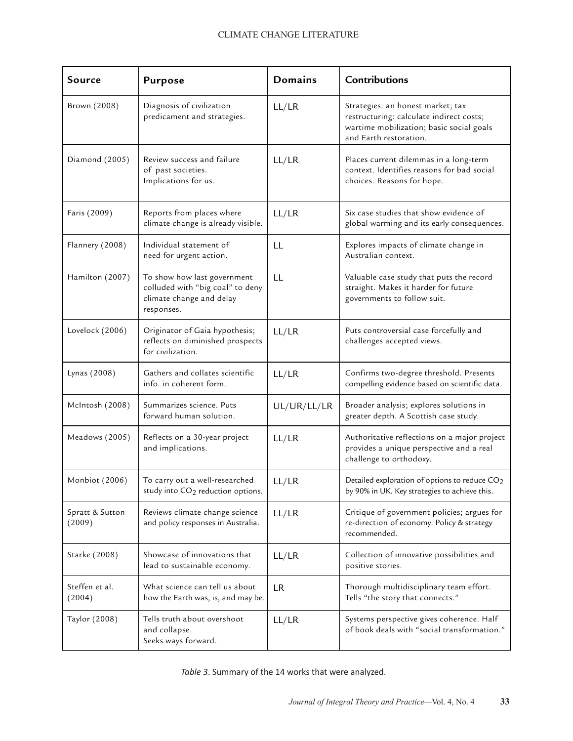| Source                    | <b>Purpose</b>                                                                                            | <b>Domains</b> | Contributions                                                                                                                                       |
|---------------------------|-----------------------------------------------------------------------------------------------------------|----------------|-----------------------------------------------------------------------------------------------------------------------------------------------------|
| Brown (2008)              | Diagnosis of civilization<br>predicament and strategies.                                                  | LL/LR          | Strategies: an honest market; tax<br>restructuring: calculate indirect costs;<br>wartime mobilization; basic social goals<br>and Earth restoration. |
| Diamond (2005)            | Review success and failure<br>of past societies.<br>Implications for us.                                  | LL/LR          | Places current dilemmas in a long-term<br>context. Identifies reasons for bad social<br>choices. Reasons for hope.                                  |
| Faris (2009)              | Reports from places where<br>climate change is already visible.                                           | LL/LR          | Six case studies that show evidence of<br>global warming and its early consequences.                                                                |
| Flannery (2008)           | Individual statement of<br>need for urgent action.                                                        | LL             | Explores impacts of climate change in<br>Australian context.                                                                                        |
| Hamilton (2007)           | To show how last government<br>colluded with "big coal" to deny<br>climate change and delay<br>responses. | LL             | Valuable case study that puts the record<br>straight. Makes it harder for future<br>governments to follow suit.                                     |
| Lovelock (2006)           | Originator of Gaia hypothesis;<br>reflects on diminished prospects<br>for civilization.                   | LL/LR          | Puts controversial case forcefully and<br>challenges accepted views.                                                                                |
| Lynas (2008)              | Gathers and collates scientific<br>info. in coherent form.                                                | LL/LR          | Confirms two-degree threshold. Presents<br>compelling evidence based on scientific data.                                                            |
| McIntosh (2008)           | Summarizes science. Puts<br>forward human solution.                                                       | UL/UR/LL/LR    | Broader analysis; explores solutions in<br>greater depth. A Scottish case study.                                                                    |
| Meadows (2005)            | Reflects on a 30-year project<br>and implications.                                                        | LL/LR          | Authoritative reflections on a major project<br>provides a unique perspective and a real<br>challenge to orthodoxy.                                 |
| Monbiot (2006)            | To carry out a well-researched<br>study into CO <sub>2</sub> reduction options.                           | LL/LR          | Detailed exploration of options to reduce CO <sub>2</sub><br>by 90% in UK. Key strategies to achieve this.                                          |
| Spratt & Sutton<br>(2009) | Reviews climate change science<br>and policy responses in Australia.                                      | LL/LR          | Critique of government policies; argues for<br>re-direction of economy. Policy & strategy<br>recommended.                                           |
| Starke (2008)             | Showcase of innovations that<br>lead to sustainable economy.                                              | LL/LR          | Collection of innovative possibilities and<br>positive stories.                                                                                     |
| Steffen et al.<br>(2004)  | What science can tell us about<br>how the Earth was, is, and may be.                                      | <b>LR</b>      | Thorough multidisciplinary team effort.<br>Tells "the story that connects."                                                                         |
| Taylor (2008)             | Tells truth about overshoot<br>and collapse.<br>Seeks ways forward.                                       | LL/LR          | Systems perspective gives coherence. Half<br>of book deals with "social transformation."                                                            |

*Table 3*. Summary of the 14 works that were analyzed.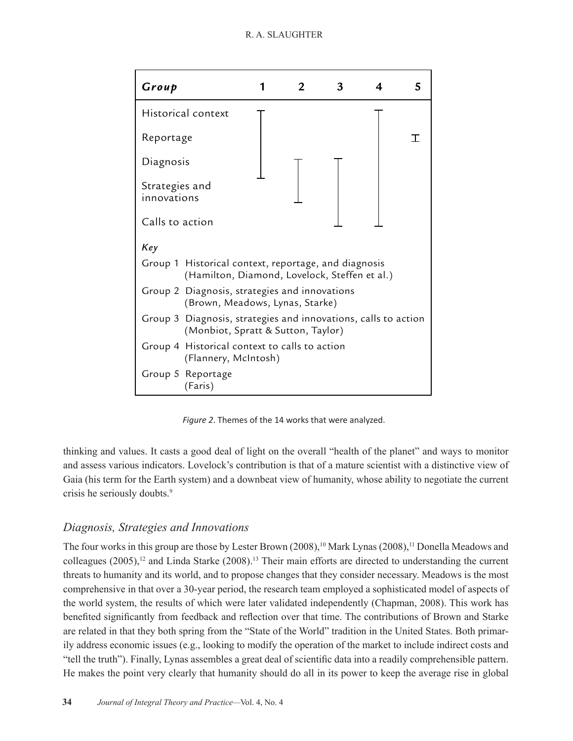

*Figure 2*. Themes of the 14 works that were analyzed.

thinking and values. It casts a good deal of light on the overall "health of the planet" and ways to monitor and assess various indicators. Lovelock's contribution is that of a mature scientist with a distinctive view of Gaia (his term for the Earth system) and a downbeat view of humanity, whose ability to negotiate the current crisis he seriously doubts.<sup>9</sup>

### *Diagnosis, Strategies and Innovations*

The four works in this group are those by Lester Brown (2008),<sup>10</sup> Mark Lynas (2008),<sup>11</sup> Donella Meadows and colleagues (2005),<sup>12</sup> and Linda Starke (2008).<sup>13</sup> Their main efforts are directed to understanding the current threats to humanity and its world, and to propose changes that they consider necessary. Meadows is the most comprehensive in that over a 30-year period, the research team employed a sophisticated model of aspects of the world system, the results of which were later validated independently (Chapman, 2008). This work has benefited significantly from feedback and reflection over that time. The contributions of Brown and Starke are related in that they both spring from the "State of the World" tradition in the United States. Both primarily address economic issues (e.g., looking to modify the operation of the market to include indirect costs and "tell the truth"). Finally, Lynas assembles a great deal of scientific data into a readily comprehensible pattern. He makes the point very clearly that humanity should do all in its power to keep the average rise in global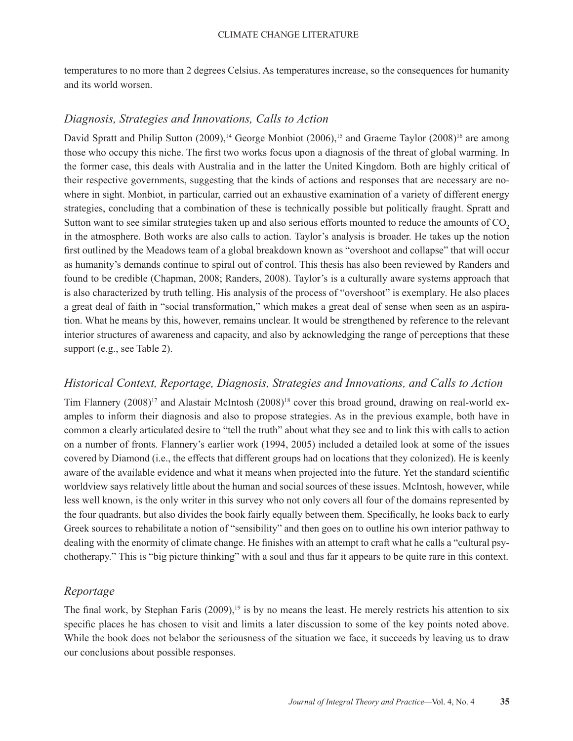temperatures to no more than 2 degrees Celsius. As temperatures increase, so the consequences for humanity and its world worsen.

### *Diagnosis, Strategies and Innovations, Calls to Action*

David Spratt and Philip Sutton  $(2009)$ ,<sup>14</sup> George Monbiot  $(2006)$ ,<sup>15</sup> and Graeme Taylor  $(2008)$ <sup>16</sup> are among those who occupy this niche. The first two works focus upon a diagnosis of the threat of global warming. In the former case, this deals with Australia and in the latter the United Kingdom. Both are highly critical of their respective governments, suggesting that the kinds of actions and responses that are necessary are nowhere in sight. Monbiot, in particular, carried out an exhaustive examination of a variety of different energy strategies, concluding that a combination of these is technically possible but politically fraught. Spratt and Sutton want to see similar strategies taken up and also serious efforts mounted to reduce the amounts of CO<sub>2</sub> in the atmosphere. Both works are also calls to action. Taylor's analysis is broader. He takes up the notion first outlined by the Meadows team of a global breakdown known as "overshoot and collapse" that will occur as humanity's demands continue to spiral out of control. This thesis has also been reviewed by Randers and found to be credible (Chapman, 2008; Randers, 2008). Taylor's is a culturally aware systems approach that is also characterized by truth telling. His analysis of the process of "overshoot" is exemplary. He also places a great deal of faith in "social transformation," which makes a great deal of sense when seen as an aspiration. What he means by this, however, remains unclear. It would be strengthened by reference to the relevant interior structures of awareness and capacity, and also by acknowledging the range of perceptions that these support (e.g., see Table 2).

### *Historical Context, Reportage, Diagnosis, Strategies and Innovations, and Calls to Action*

Tim Flannery (2008)<sup>17</sup> and Alastair McIntosh (2008)<sup>18</sup> cover this broad ground, drawing on real-world examples to inform their diagnosis and also to propose strategies. As in the previous example, both have in common a clearly articulated desire to "tell the truth" about what they see and to link this with calls to action on a number of fronts. Flannery's earlier work (1994, 2005) included a detailed look at some of the issues covered by Diamond (i.e., the effects that different groups had on locations that they colonized). He is keenly aware of the available evidence and what it means when projected into the future. Yet the standard scientific worldview says relatively little about the human and social sources of these issues. McIntosh, however, while less well known, is the only writer in this survey who not only covers all four of the domains represented by the four quadrants, but also divides the book fairly equally between them. Specifically, he looks back to early Greek sources to rehabilitate a notion of "sensibility" and then goes on to outline his own interior pathway to dealing with the enormity of climate change. He finishes with an attempt to craft what he calls a "cultural psychotherapy." This is "big picture thinking" with a soul and thus far it appears to be quite rare in this context.

### *Reportage*

The final work, by Stephan Faris  $(2009)^{19}$  is by no means the least. He merely restricts his attention to six specific places he has chosen to visit and limits a later discussion to some of the key points noted above. While the book does not belabor the seriousness of the situation we face, it succeeds by leaving us to draw our conclusions about possible responses.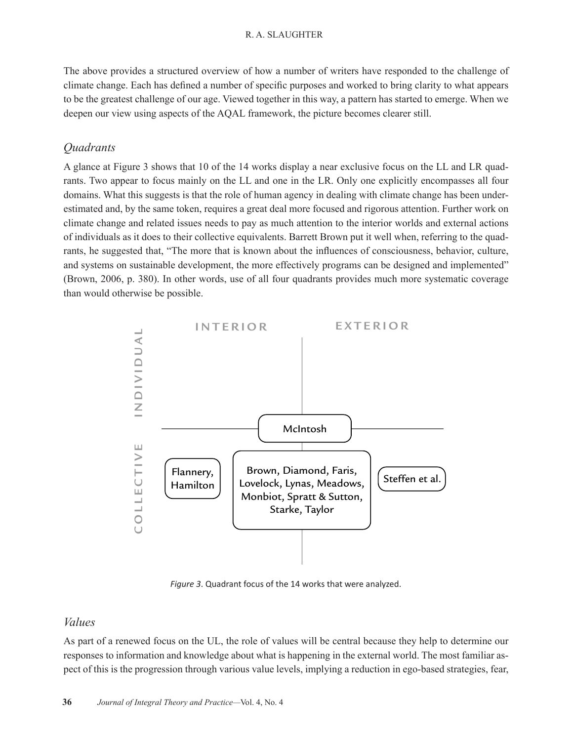The above provides a structured overview of how a number of writers have responded to the challenge of climate change. Each has defined a number of specific purposes and worked to bring clarity to what appears to be the greatest challenge of our age. Viewed together in this way, a pattern has started to emerge. When we deepen our view using aspects of the AQAL framework, the picture becomes clearer still.

### *Quadrants*

A glance at Figure 3 shows that 10 of the 14 works display a near exclusive focus on the LL and LR quadrants. Two appear to focus mainly on the LL and one in the LR. Only one explicitly encompasses all four domains. What this suggests is that the role of human agency in dealing with climate change has been underestimated and, by the same token, requires a great deal more focused and rigorous attention. Further work on climate change and related issues needs to pay as much attention to the interior worlds and external actions of individuals as it does to their collective equivalents. Barrett Brown put it well when, referring to the quadrants, he suggested that, "The more that is known about the influences of consciousness, behavior, culture, and systems on sustainable development, the more effectively programs can be designed and implemented" (Brown, 2006, p. 380). In other words, use of all four quadrants provides much more systematic coverage than would otherwise be possible.



*Figure 3*. Quadrant focus of the 14 works that were analyzed.

### *Values*

As part of a renewed focus on the UL, the role of values will be central because they help to determine our responses to information and knowledge about what is happening in the external world. The most familiar aspect of this is the progression through various value levels, implying a reduction in ego-based strategies, fear,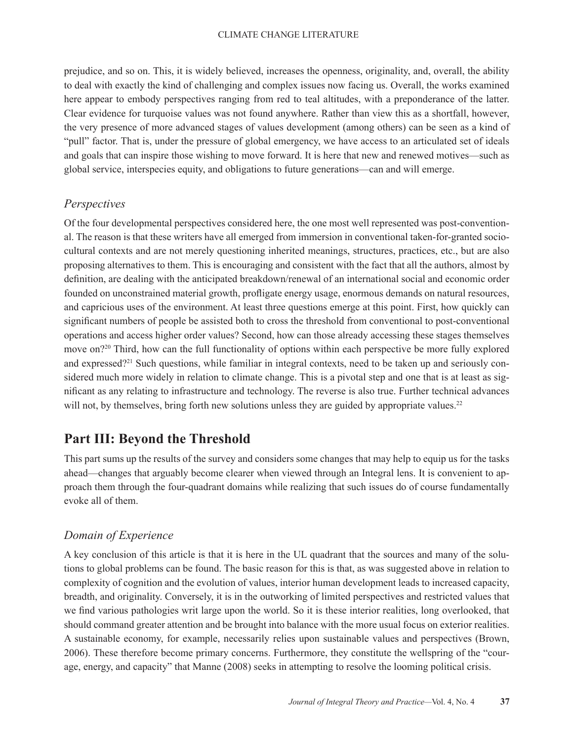prejudice, and so on. This, it is widely believed, increases the openness, originality, and, overall, the ability to deal with exactly the kind of challenging and complex issues now facing us. Overall, the works examined here appear to embody perspectives ranging from red to teal altitudes, with a preponderance of the latter. Clear evidence for turquoise values was not found anywhere. Rather than view this as a shortfall, however, the very presence of more advanced stages of values development (among others) can be seen as a kind of "pull" factor. That is, under the pressure of global emergency, we have access to an articulated set of ideals and goals that can inspire those wishing to move forward. It is here that new and renewed motives—such as global service, interspecies equity, and obligations to future generations—can and will emerge.

### *Perspectives*

Of the four developmental perspectives considered here, the one most well represented was post-conventional. The reason is that these writers have all emerged from immersion in conventional taken-for-granted sociocultural contexts and are not merely questioning inherited meanings, structures, practices, etc., but are also proposing alternatives to them. This is encouraging and consistent with the fact that all the authors, almost by definition, are dealing with the anticipated breakdown/renewal of an international social and economic order founded on unconstrained material growth, profligate energy usage, enormous demands on natural resources, and capricious uses of the environment. At least three questions emerge at this point. First, how quickly can significant numbers of people be assisted both to cross the threshold from conventional to post-conventional operations and access higher order values? Second, how can those already accessing these stages themselves move on?<sup>20</sup> Third, how can the full functionality of options within each perspective be more fully explored and expressed?21 Such questions, while familiar in integral contexts, need to be taken up and seriously considered much more widely in relation to climate change. This is a pivotal step and one that is at least as significant as any relating to infrastructure and technology. The reverse is also true. Further technical advances will not, by themselves, bring forth new solutions unless they are guided by appropriate values.<sup>22</sup>

## **Part III: Beyond the Threshold**

This part sums up the results of the survey and considers some changes that may help to equip us for the tasks ahead—changes that arguably become clearer when viewed through an Integral lens. It is convenient to approach them through the four-quadrant domains while realizing that such issues do of course fundamentally evoke all of them.

### *Domain of Experience*

A key conclusion of this article is that it is here in the UL quadrant that the sources and many of the solutions to global problems can be found. The basic reason for this is that, as was suggested above in relation to complexity of cognition and the evolution of values, interior human development leads to increased capacity, breadth, and originality. Conversely, it is in the outworking of limited perspectives and restricted values that we find various pathologies writ large upon the world. So it is these interior realities, long overlooked, that should command greater attention and be brought into balance with the more usual focus on exterior realities. A sustainable economy, for example, necessarily relies upon sustainable values and perspectives (Brown, 2006). These therefore become primary concerns. Furthermore, they constitute the wellspring of the "courage, energy, and capacity" that Manne (2008) seeks in attempting to resolve the looming political crisis.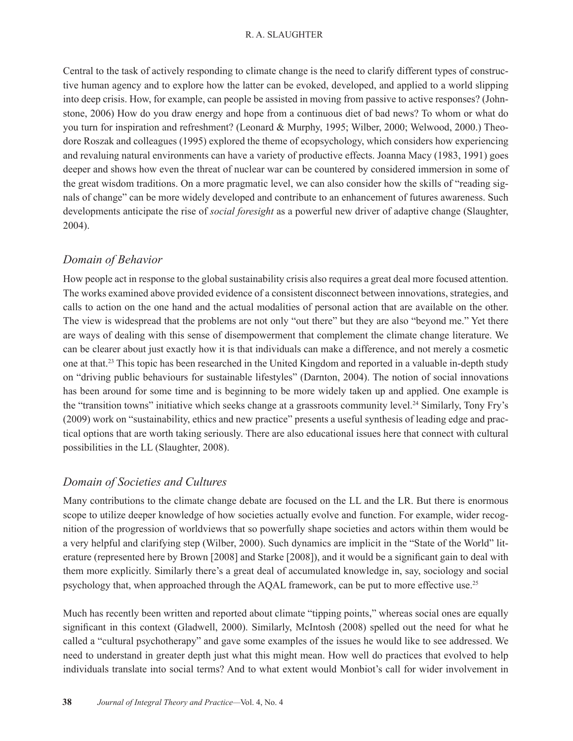Central to the task of actively responding to climate change is the need to clarify different types of constructive human agency and to explore how the latter can be evoked, developed, and applied to a world slipping into deep crisis. How, for example, can people be assisted in moving from passive to active responses? (Johnstone, 2006) How do you draw energy and hope from a continuous diet of bad news? To whom or what do you turn for inspiration and refreshment? (Leonard & Murphy, 1995; Wilber, 2000; Welwood, 2000.) Theodore Roszak and colleagues (1995) explored the theme of ecopsychology, which considers how experiencing and revaluing natural environments can have a variety of productive effects. Joanna Macy (1983, 1991) goes deeper and shows how even the threat of nuclear war can be countered by considered immersion in some of the great wisdom traditions. On a more pragmatic level, we can also consider how the skills of "reading signals of change" can be more widely developed and contribute to an enhancement of futures awareness. Such developments anticipate the rise of *social foresight* as a powerful new driver of adaptive change (Slaughter, 2004).

### *Domain of Behavior*

How people act in response to the global sustainability crisis also requires a great deal more focused attention. The works examined above provided evidence of a consistent disconnect between innovations, strategies, and calls to action on the one hand and the actual modalities of personal action that are available on the other. The view is widespread that the problems are not only "out there" but they are also "beyond me." Yet there are ways of dealing with this sense of disempowerment that complement the climate change literature. We can be clearer about just exactly how it is that individuals can make a difference, and not merely a cosmetic one at that.23 This topic has been researched in the United Kingdom and reported in a valuable in-depth study on "driving public behaviours for sustainable lifestyles" (Darnton, 2004). The notion of social innovations has been around for some time and is beginning to be more widely taken up and applied. One example is the "transition towns" initiative which seeks change at a grassroots community level.<sup>24</sup> Similarly, Tony Fry's (2009) work on "sustainability, ethics and new practice" presents a useful synthesis of leading edge and practical options that are worth taking seriously. There are also educational issues here that connect with cultural possibilities in the LL (Slaughter, 2008).

### *Domain of Societies and Cultures*

Many contributions to the climate change debate are focused on the LL and the LR. But there is enormous scope to utilize deeper knowledge of how societies actually evolve and function. For example, wider recognition of the progression of worldviews that so powerfully shape societies and actors within them would be a very helpful and clarifying step (Wilber, 2000). Such dynamics are implicit in the "State of the World" literature (represented here by Brown [2008] and Starke [2008]), and it would be a significant gain to deal with them more explicitly. Similarly there's a great deal of accumulated knowledge in, say, sociology and social psychology that, when approached through the AQAL framework, can be put to more effective use.<sup>25</sup>

Much has recently been written and reported about climate "tipping points," whereas social ones are equally significant in this context (Gladwell, 2000). Similarly, McIntosh (2008) spelled out the need for what he called a "cultural psychotherapy" and gave some examples of the issues he would like to see addressed. We need to understand in greater depth just what this might mean. How well do practices that evolved to help individuals translate into social terms? And to what extent would Monbiot's call for wider involvement in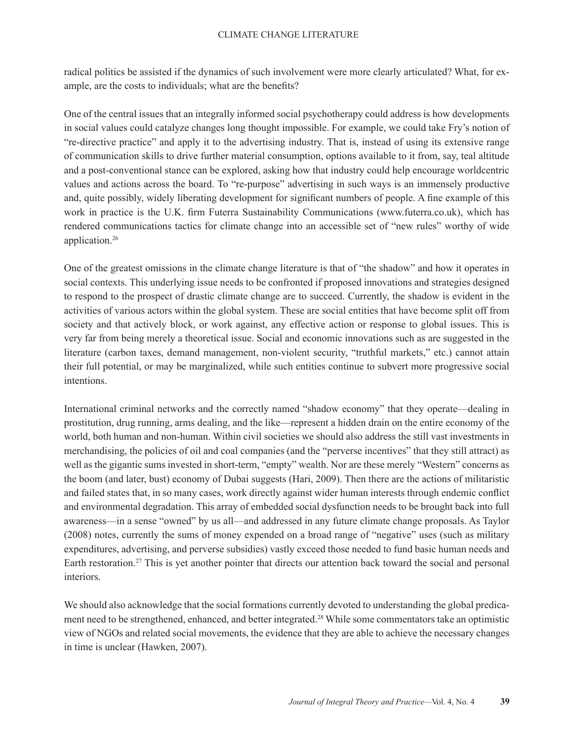radical politics be assisted if the dynamics of such involvement were more clearly articulated? What, for example, are the costs to individuals; what are the benefits?

One of the central issues that an integrally informed social psychotherapy could address is how developments in social values could catalyze changes long thought impossible. For example, we could take Fry's notion of "re-directive practice" and apply it to the advertising industry. That is, instead of using its extensive range of communication skills to drive further material consumption, options available to it from, say, teal altitude and a post-conventional stance can be explored, asking how that industry could help encourage worldcentric values and actions across the board. To "re-purpose" advertising in such ways is an immensely productive and, quite possibly, widely liberating development for significant numbers of people. A fine example of this work in practice is the U.K. firm Futerra Sustainability Communications (www.futerra.co.uk), which has rendered communications tactics for climate change into an accessible set of "new rules" worthy of wide application.26

One of the greatest omissions in the climate change literature is that of "the shadow" and how it operates in social contexts. This underlying issue needs to be confronted if proposed innovations and strategies designed to respond to the prospect of drastic climate change are to succeed. Currently, the shadow is evident in the activities of various actors within the global system. These are social entities that have become split off from society and that actively block, or work against, any effective action or response to global issues. This is very far from being merely a theoretical issue. Social and economic innovations such as are suggested in the literature (carbon taxes, demand management, non-violent security, "truthful markets," etc.) cannot attain their full potential, or may be marginalized, while such entities continue to subvert more progressive social intentions.

International criminal networks and the correctly named "shadow economy" that they operate—dealing in prostitution, drug running, arms dealing, and the like—represent a hidden drain on the entire economy of the world, both human and non-human. Within civil societies we should also address the still vast investments in merchandising, the policies of oil and coal companies (and the "perverse incentives" that they still attract) as well as the gigantic sums invested in short-term, "empty" wealth. Nor are these merely "Western" concerns as the boom (and later, bust) economy of Dubai suggests (Hari, 2009). Then there are the actions of militaristic and failed states that, in so many cases, work directly against wider human interests through endemic conflict and environmental degradation. This array of embedded social dysfunction needs to be brought back into full awareness—in a sense "owned" by us all—and addressed in any future climate change proposals. As Taylor (2008) notes, currently the sums of money expended on a broad range of "negative" uses (such as military expenditures, advertising, and perverse subsidies) vastly exceed those needed to fund basic human needs and Earth restoration.27 This is yet another pointer that directs our attention back toward the social and personal interiors.

We should also acknowledge that the social formations currently devoted to understanding the global predicament need to be strengthened, enhanced, and better integrated.<sup>28</sup> While some commentators take an optimistic view of NGOs and related social movements, the evidence that they are able to achieve the necessary changes in time is unclear (Hawken, 2007).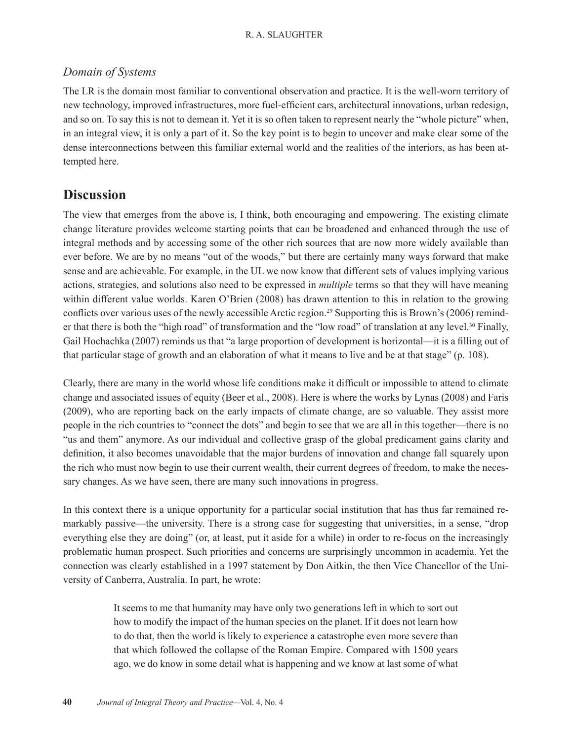### *Domain of Systems*

The LR is the domain most familiar to conventional observation and practice. It is the well-worn territory of new technology, improved infrastructures, more fuel-efficient cars, architectural innovations, urban redesign, and so on. To say this is not to demean it. Yet it is so often taken to represent nearly the "whole picture" when, in an integral view, it is only a part of it. So the key point is to begin to uncover and make clear some of the dense interconnections between this familiar external world and the realities of the interiors, as has been attempted here.

## **Discussion**

The view that emerges from the above is, I think, both encouraging and empowering. The existing climate change literature provides welcome starting points that can be broadened and enhanced through the use of integral methods and by accessing some of the other rich sources that are now more widely available than ever before. We are by no means "out of the woods," but there are certainly many ways forward that make sense and are achievable. For example, in the UL we now know that different sets of values implying various actions, strategies, and solutions also need to be expressed in *multiple* terms so that they will have meaning within different value worlds. Karen O'Brien (2008) has drawn attention to this in relation to the growing conflicts over various uses of the newly accessible Arctic region.<sup>29</sup> Supporting this is Brown's (2006) reminder that there is both the "high road" of transformation and the "low road" of translation at any level.<sup>30</sup> Finally, Gail Hochachka (2007) reminds us that "a large proportion of development is horizontal—it is a filling out of that particular stage of growth and an elaboration of what it means to live and be at that stage" (p. 108).

Clearly, there are many in the world whose life conditions make it difficult or impossible to attend to climate change and associated issues of equity (Beer et al., 2008). Here is where the works by Lynas (2008) and Faris (2009), who are reporting back on the early impacts of climate change, are so valuable. They assist more people in the rich countries to "connect the dots" and begin to see that we are all in this together—there is no "us and them" anymore. As our individual and collective grasp of the global predicament gains clarity and definition, it also becomes unavoidable that the major burdens of innovation and change fall squarely upon the rich who must now begin to use their current wealth, their current degrees of freedom, to make the necessary changes. As we have seen, there are many such innovations in progress.

In this context there is a unique opportunity for a particular social institution that has thus far remained remarkably passive—the university. There is a strong case for suggesting that universities, in a sense, "drop everything else they are doing" (or, at least, put it aside for a while) in order to re-focus on the increasingly problematic human prospect. Such priorities and concerns are surprisingly uncommon in academia. Yet the connection was clearly established in a 1997 statement by Don Aitkin, the then Vice Chancellor of the University of Canberra, Australia. In part, he wrote:

> It seems to me that humanity may have only two generations left in which to sort out how to modify the impact of the human species on the planet. If it does not learn how to do that, then the world is likely to experience a catastrophe even more severe than that which followed the collapse of the Roman Empire. Compared with 1500 years ago, we do know in some detail what is happening and we know at last some of what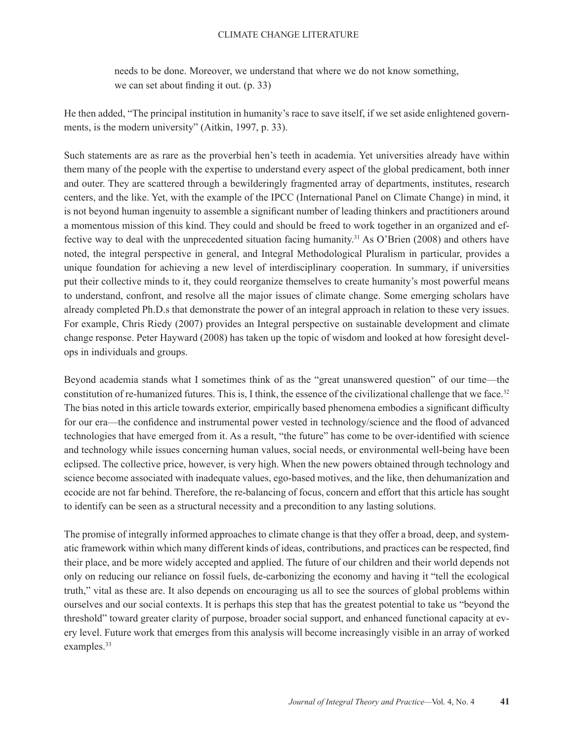#### CLIMATE CHANGE LITERATURE

needs to be done. Moreover, we understand that where we do not know something, we can set about finding it out. (p. 33)

He then added, "The principal institution in humanity's race to save itself, if we set aside enlightened governments, is the modern university" (Aitkin, 1997, p. 33).

Such statements are as rare as the proverbial hen's teeth in academia. Yet universities already have within them many of the people with the expertise to understand every aspect of the global predicament, both inner and outer. They are scattered through a bewilderingly fragmented array of departments, institutes, research centers, and the like. Yet, with the example of the IPCC (International Panel on Climate Change) in mind, it is not beyond human ingenuity to assemble a significant number of leading thinkers and practitioners around a momentous mission of this kind. They could and should be freed to work together in an organized and effective way to deal with the unprecedented situation facing humanity.31 As O'Brien (2008) and others have noted, the integral perspective in general, and Integral Methodological Pluralism in particular, provides a unique foundation for achieving a new level of interdisciplinary cooperation. In summary, if universities put their collective minds to it, they could reorganize themselves to create humanity's most powerful means to understand, confront, and resolve all the major issues of climate change. Some emerging scholars have already completed Ph.D.s that demonstrate the power of an integral approach in relation to these very issues. For example, Chris Riedy (2007) provides an Integral perspective on sustainable development and climate change response. Peter Hayward (2008) has taken up the topic of wisdom and looked at how foresight develops in individuals and groups.

Beyond academia stands what I sometimes think of as the "great unanswered question" of our time—the constitution of re-humanized futures. This is, I think, the essence of the civilizational challenge that we face.32 The bias noted in this article towards exterior, empirically based phenomena embodies a significant difficulty for our era—the confidence and instrumental power vested in technology/science and the flood of advanced technologies that have emerged from it. As a result, "the future" has come to be over-identified with science and technology while issues concerning human values, social needs, or environmental well-being have been eclipsed. The collective price, however, is very high. When the new powers obtained through technology and science become associated with inadequate values, ego-based motives, and the like, then dehumanization and ecocide are not far behind. Therefore, the re-balancing of focus, concern and effort that this article has sought to identify can be seen as a structural necessity and a precondition to any lasting solutions.

The promise of integrally informed approaches to climate change is that they offer a broad, deep, and systematic framework within which many different kinds of ideas, contributions, and practices can be respected, find their place, and be more widely accepted and applied. The future of our children and their world depends not only on reducing our reliance on fossil fuels, de-carbonizing the economy and having it "tell the ecological truth," vital as these are. It also depends on encouraging us all to see the sources of global problems within ourselves and our social contexts. It is perhaps this step that has the greatest potential to take us "beyond the threshold" toward greater clarity of purpose, broader social support, and enhanced functional capacity at every level. Future work that emerges from this analysis will become increasingly visible in an array of worked examples.<sup>33</sup>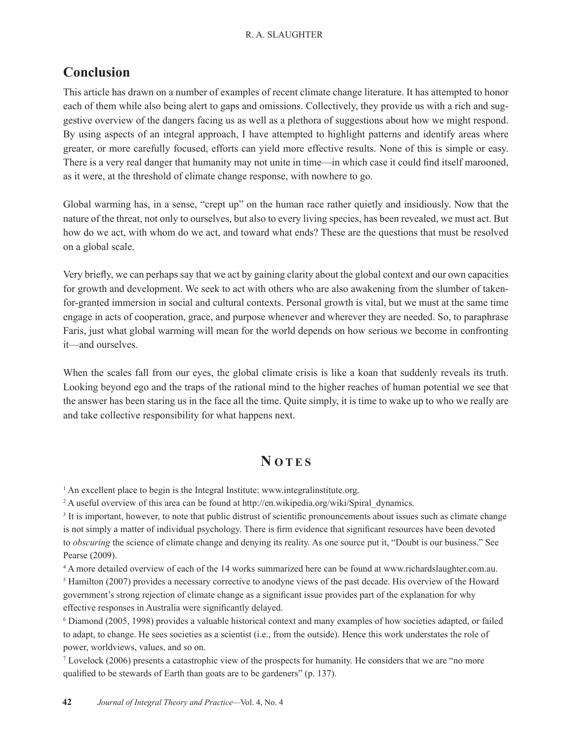## **Conclusion**

This article has drawn on a number of examples of recent climate change literature. It has attempted to honor each of them while also being alert to gaps and omissions. Collectively, they provide us with a rich and suggestive overview of the dangers facing us as well as a plethora of suggestions about how we might respond. By using aspects of an integral approach, I have attempted to highlight patterns and identify areas where greater, or more carefully focused, efforts can yield more effective results. None of this is simple or easy. There is a very real danger that humanity may not unite in time—in which case it could find itself marooned, as it were, at the threshold of climate change response, with nowhere to go.

Global warming has, in a sense, "crept up" on the human race rather quietly and insidiously. Now that the nature of the threat, not only to ourselves, but also to every living species, has been revealed, we must act. But how do we act, with whom do we act, and toward what ends? These are the questions that must be resolved on a global scale.

Very briefly, we can perhaps say that we act by gaining clarity about the global context and our own capacities for growth and development. We seek to act with others who are also awakening from the slumber of takenfor-granted immersion in social and cultural contexts. Personal growth is vital, but we must at the same time engage in acts of cooperation, grace, and purpose whenever and wherever they are needed. So, to paraphrase Faris, just what global warming will mean for the world depends on how serious we become in confronting it—and ourselves.

When the scales fall from our eyes, the global climate crisis is like a koan that suddenly reveals its truth. Looking beyond ego and the traps of the rational mind to the higher reaches of human potential we see that the answer has been staring us in the face all the time. Quite simply, it is time to wake up to who we really are and take collective responsibility for what happens next.

## **N OTES**

<sup>1</sup> An excellent place to begin is the Integral Institute: www.integralinstitute.org.

<sup>2</sup> A useful overview of this area can be found at http://en.wikipedia.org/wiki/Spiral\_dynamics.

<sup>3</sup> It is important, however, to note that public distrust of scientific pronouncements about issues such as climate change is not simply a matter of individual psychology. There is firm evidence that significant resources have been devoted to *obscuring* the science of climate change and denying its reality. As one source put it, "Doubt is our business." See Pearse (2009).

4 A more detailed overview of each of the 14 works summarized here can be found at www.richardslaughter.com.au. <sup>5</sup> Hamilton (2007) provides a necessary corrective to anodyne views of the past decade. His overview of the Howard government's strong rejection of climate change as a significant issue provides part of the explanation for why effective responses in Australia were significantly delayed.

6 Diamond (2005, 1998) provides a valuable historical context and many examples of how societies adapted, or failed to adapt, to change. He sees societies as a scientist (i.e., from the outside). Hence this work understates the role of power, worldviews, values, and so on.

7 Lovelock (2006) presents a catastrophic view of the prospects for humanity. He considers that we are "no more qualified to be stewards of Earth than goats are to be gardeners" (p. 137).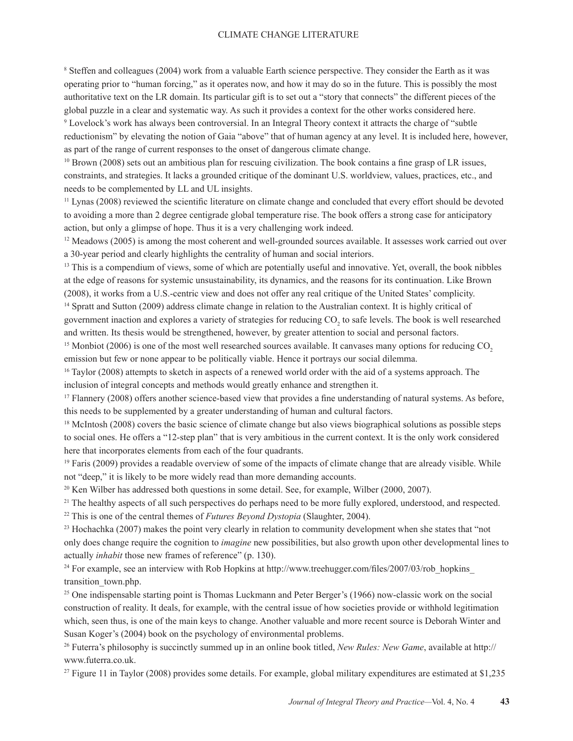#### CLIMATE CHANGE LITERATURE

8 Steffen and colleagues (2004) work from a valuable Earth science perspective. They consider the Earth as it was operating prior to "human forcing," as it operates now, and how it may do so in the future. This is possibly the most authoritative text on the LR domain. Its particular gift is to set out a "story that connects" the different pieces of the global puzzle in a clear and systematic way. As such it provides a context for the other works considered here.

9 Lovelock's work has always been controversial. In an Integral Theory context it attracts the charge of "subtle reductionism" by elevating the notion of Gaia "above" that of human agency at any level. It is included here, however, as part of the range of current responses to the onset of dangerous climate change.

<sup>10</sup> Brown (2008) sets out an ambitious plan for rescuing civilization. The book contains a fine grasp of LR issues, constraints, and strategies. It lacks a grounded critique of the dominant U.S. worldview, values, practices, etc., and needs to be complemented by LL and UL insights.

<sup>11</sup> Lynas (2008) reviewed the scientific literature on climate change and concluded that every effort should be devoted to avoiding a more than 2 degree centigrade global temperature rise. The book offers a strong case for anticipatory action, but only a glimpse of hope. Thus it is a very challenging work indeed.

<sup>12</sup> Meadows (2005) is among the most coherent and well-grounded sources available. It assesses work carried out over a 30-year period and clearly highlights the centrality of human and social interiors.

<sup>13</sup> This is a compendium of views, some of which are potentially useful and innovative. Yet, overall, the book nibbles at the edge of reasons for systemic unsustainability, its dynamics, and the reasons for its continuation. Like Brown (2008), it works from a U.S.-centric view and does not offer any real critique of the United States' complicity.

14 Spratt and Sutton (2009) address climate change in relation to the Australian context. It is highly critical of government inaction and explores a variety of strategies for reducing  $CO<sub>2</sub>$  to safe levels. The book is well researched and written. Its thesis would be strengthened, however, by greater attention to social and personal factors.

<sup>15</sup> Monbiot (2006) is one of the most well researched sources available. It canvases many options for reducing CO<sub>2</sub> emission but few or none appear to be politically viable. Hence it portrays our social dilemma.

<sup>16</sup> Taylor (2008) attempts to sketch in aspects of a renewed world order with the aid of a systems approach. The inclusion of integral concepts and methods would greatly enhance and strengthen it.

<sup>17</sup> Flannery (2008) offers another science-based view that provides a fine understanding of natural systems. As before, this needs to be supplemented by a greater understanding of human and cultural factors.

<sup>18</sup> McIntosh (2008) covers the basic science of climate change but also views biographical solutions as possible steps to social ones. He offers a "12-step plan" that is very ambitious in the current context. It is the only work considered here that incorporates elements from each of the four quadrants.

19 Faris (2009) provides a readable overview of some of the impacts of climate change that are already visible. While not "deep," it is likely to be more widely read than more demanding accounts.

<sup>20</sup> Ken Wilber has addressed both questions in some detail. See, for example, Wilber (2000, 2007).

<sup>21</sup> The healthy aspects of all such perspectives do perhaps need to be more fully explored, understood, and respected.

<sup>22</sup> This is one of the central themes of *Futures Bevond Dystopia* (Slaughter, 2004).

<sup>23</sup> Hochachka (2007) makes the point very clearly in relation to community development when she states that "not only does change require the cognition to *imagine* new possibilities, but also growth upon other developmental lines to actually *inhabit* those new frames of reference" (p. 130).

<sup>24</sup> For example, see an interview with Rob Hopkins at http://www.treehugger.com/files/2007/03/rob\_hopkins transition town.php.

<sup>25</sup> One indispensable starting point is Thomas Luckmann and Peter Berger's (1966) now-classic work on the social construction of reality. It deals, for example, with the central issue of how societies provide or withhold legitimation which, seen thus, is one of the main keys to change. Another valuable and more recent source is Deborah Winter and Susan Koger's (2004) book on the psychology of environmental problems.

26 Futerra's philosophy is succinctly summed up in an online book titled, *New Rules: New Game*, available at http:// www.futerra.co.uk.

 $27$  Figure 11 in Taylor (2008) provides some details. For example, global military expenditures are estimated at \$1,235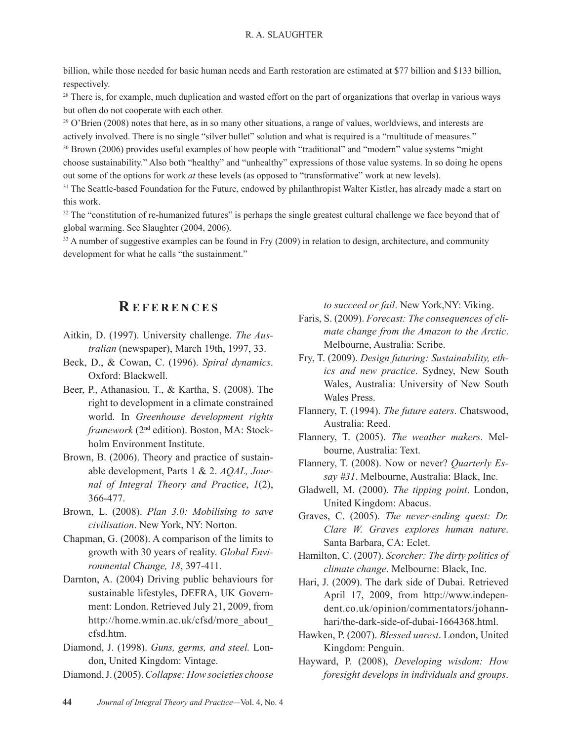billion, while those needed for basic human needs and Earth restoration are estimated at \$77 billion and \$133 billion, respectively.

 $28$  There is, for example, much duplication and wasted effort on the part of organizations that overlap in various ways but often do not cooperate with each other.

 $^{29}$  O'Brien (2008) notes that here, as in so many other situations, a range of values, worldviews, and interests are actively involved. There is no single "silver bullet" solution and what is required is a "multitude of measures." 30 Brown (2006) provides useful examples of how people with "traditional" and "modern" value systems "might choose sustainability." Also both "healthy" and "unhealthy" expressions of those value systems. In so doing he opens out some of the options for work *at* these levels (as opposed to "transformative" work at new levels).

<sup>31</sup> The Seattle-based Foundation for the Future, endowed by philanthropist Walter Kistler, has already made a start on this work.

 $32$  The "constitution of re-humanized futures" is perhaps the single greatest cultural challenge we face beyond that of global warming. See Slaughter (2004, 2006).

<sup>33</sup> A number of suggestive examples can be found in Fry (2009) in relation to design, architecture, and community development for what he calls "the sustainment."

### **R EFERENCES**

- Aitkin, D. (1997). University challenge. *The Australian* (newspaper), March 19th, 1997, 33.
- Beck, D., & Cowan, C. (1996). *Spiral dynamics*. Oxford: Blackwell.
- Beer, P., Athanasiou, T., & Kartha, S. (2008). The right to development in a climate constrained world. In *Greenhouse development rights framework* (2nd edition). Boston, MA: Stockholm Environment Institute.
- Brown, B. (2006). Theory and practice of sustainable development, Parts 1 & 2. *AQAL, Journal of Integral Theory and Practice*, *1*(2), 366-477.
- Brown, L. (2008). *Plan 3.0: Mobilising to save civilisation*. New York, NY: Norton.
- Chapman, G. (2008). A comparison of the limits to growth with 30 years of reality. *Global Environmental Change, 18*, 397-411.
- Darnton, A. (2004) Driving public behaviours for sustainable lifestyles, DEFRA, UK Government: London. Retrieved July 21, 2009, from http://home.wmin.ac.uk/cfsd/more\_about\_ cfsd.htm.
- Diamond, J. (1998). *Guns, germs, and steel.* London, United Kingdom: Vintage.

Diamond, J. (2005). *Collapse: How societies choose* 

*to succeed or fail*. New York,NY: Viking.

- Faris, S. (2009). *Forecast: The consequences of climate change from the Amazon to the Arctic*. Melbourne, Australia: Scribe.
- Fry, T. (2009). *Design futuring: Sustainability, ethics and new practice*. Sydney, New South Wales, Australia: University of New South Wales Press.
- Flannery, T. (1994). *The future eaters*. Chatswood, Australia: Reed.
- Flannery, T. (2005). *The weather makers*. Melbourne, Australia: Text.
- Flannery, T. (2008). Now or never? *Quarterly Essay #31*. Melbourne, Australia: Black, Inc.
- Gladwell, M. (2000). *The tipping point*. London, United Kingdom: Abacus.
- Graves, C. (2005). *The never-ending quest: Dr. Clare W. Graves explores human nature*. Santa Barbara, CA: Eclet.
- Hamilton, C. (2007). *Scorcher: The dirty politics of climate change*. Melbourne: Black, Inc.
- Hari, J. (2009). The dark side of Dubai. Retrieved April 17, 2009, from http://www.independent.co.uk/opinion/commentators/johannhari/the-dark-side-of-dubai-1664368.html.
- Hawken, P. (2007). *Blessed unrest*. London, United Kingdom: Penguin.
- Hayward, P. (2008), *Developing wisdom: How foresight develops in individuals and groups*.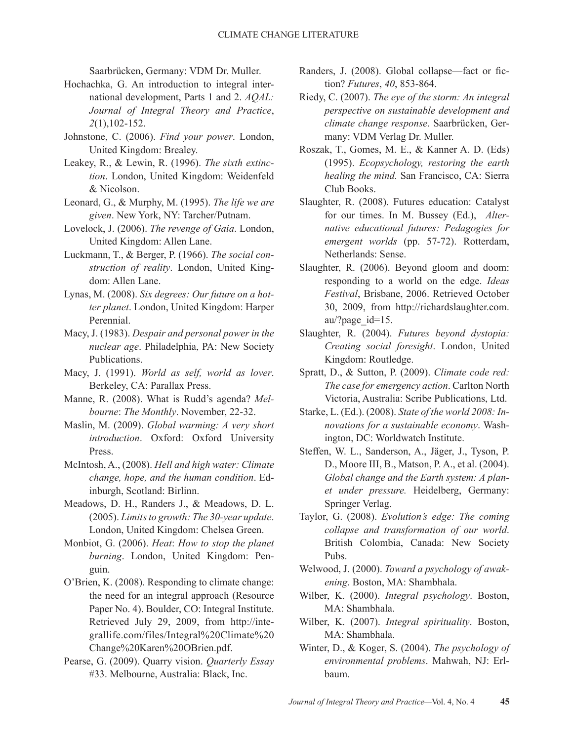Saarbrücken, Germany: VDM Dr. Muller.

- Hochachka, G. An introduction to integral international development, Parts 1 and 2. *AQAL: Journal of Integral Theory and Practice*, *2*(1),102-152.
- Johnstone, C. (2006). *Find your power*. London, United Kingdom: Brealey.
- Leakey, R., & Lewin, R. (1996). *The sixth extinction*. London, United Kingdom: Weidenfeld & Nicolson.
- Leonard, G., & Murphy, M. (1995). *The life we are given*. New York, NY: Tarcher/Putnam.
- Lovelock, J. (2006). *The revenge of Gaia*. London, United Kingdom: Allen Lane.
- Luckmann, T., & Berger, P. (1966). *The social construction of reality*. London, United Kingdom: Allen Lane.
- Lynas, M. (2008). *Six degrees: Our future on a hotter planet*. London, United Kingdom: Harper Perennial.
- Macy, J. (1983). *Despair and personal power in the nuclear age*. Philadelphia, PA: New Society Publications.
- Macy, J. (1991). *World as self, world as lover*. Berkeley, CA: Parallax Press.
- Manne, R. (2008). What is Rudd's agenda? *Melbourne*: *The Monthly*. November, 22-32.
- Maslin, M. (2009). *Global warming: A very short introduction*. Oxford: Oxford University Press.
- McIntosh, A., (2008). *Hell and high water: Climate change, hope, and the human condition*. Edinburgh, Scotland: Birlinn.
- Meadows, D. H., Randers J., & Meadows, D. L. (2005). *Limits to growth: The 30-year update*. London, United Kingdom: Chelsea Green.
- Monbiot, G. (2006). *Heat*: *How to stop the planet burning*. London, United Kingdom: Penguin.
- O'Brien, K. (2008). Responding to climate change: the need for an integral approach (Resource Paper No. 4). Boulder, CO: Integral Institute. Retrieved July 29, 2009, from http://integrallife.com/files/Integral%20Climate%20 Change%20Karen%20OBrien.pdf.
- Pearse, G. (2009). Quarry vision. *Quarterly Essay* #33. Melbourne, Australia: Black, Inc.
- Randers, J. (2008). Global collapse—fact or fiction? *Futures*, *40*, 853-864.
- Riedy, C. (2007). *The eye of the storm: An integral perspective on sustainable development and climate change response*. Saarbrücken, Germany: VDM Verlag Dr. Muller.
- Roszak, T., Gomes, M. E., & Kanner A. D. (Eds) (1995). *Ecopsychology, restoring the earth healing the mind.* San Francisco, CA: Sierra Club Books.
- Slaughter, R. (2008). Futures education: Catalyst for our times. In M. Bussey (Ed.), *Alternative educational futures: Pedagogies for emergent worlds* (pp. 57-72). Rotterdam, Netherlands: Sense.
- Slaughter, R. (2006). Beyond gloom and doom: responding to a world on the edge. *Ideas Festival*, Brisbane, 2006. Retrieved October 30, 2009, from http://richardslaughter.com. au/?page\_id=15.
- Slaughter, R. (2004). *Futures beyond dystopia: Creating social foresight*. London, United Kingdom: Routledge.
- Spratt, D., & Sutton, P. (2009). *Climate code red: The case for emergency action*. Carlton North Victoria, Australia: Scribe Publications, Ltd.
- Starke, L. (Ed.). (2008). *State of the world 2008: Innovations for a sustainable economy*. Washington, DC: Worldwatch Institute.
- Steffen, W. L., Sanderson, A., Jäger, J., Tyson, P. D., Moore III, B., Matson, P. A., et al. (2004). *Global change and the Earth system: A planet under pressure.* Heidelberg, Germany: Springer Verlag.
- Taylor, G. (2008). *Evolution's edge: The coming collapse and transformation of our world*. British Colombia, Canada: New Society Pubs.
- Welwood, J. (2000). *Toward a psychology of awakening*. Boston, MA: Shambhala.
- Wilber, K. (2000). *Integral psychology*. Boston, MA: Shambhala.
- Wilber, K. (2007). *Integral spirituality*. Boston, MA: Shambhala.
- Winter, D., & Koger, S. (2004). *The psychology of environmental problems*. Mahwah, NJ: Erlbaum.